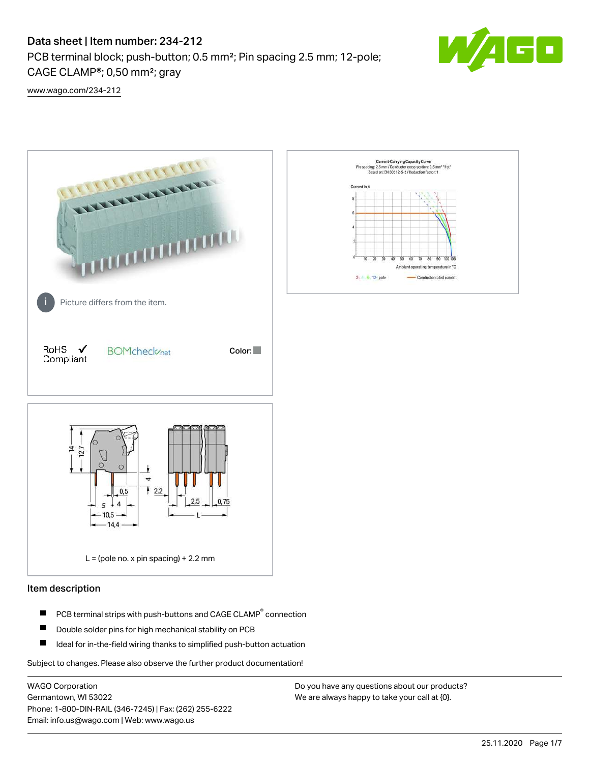# Data sheet | Item number: 234-212

PCB terminal block; push-button; 0.5 mm²; Pin spacing 2.5 mm; 12-pole; CAGE CLAMP®; 0,50 mm²; gray



[www.wago.com/234-212](http://www.wago.com/234-212)



### Item description

- PCB terminal strips with push-buttons and CAGE CLAMP<sup>®</sup> connection П
- П Double solder pins for high mechanical stability on PCB
- П Ideal for in-the-field wiring thanks to simplified push-button actuation

Subject to changes. Please also observe the further product documentation!

WAGO Corporation Germantown, WI 53022 Phone: 1-800-DIN-RAIL (346-7245) | Fax: (262) 255-6222 Email: info.us@wago.com | Web: www.wago.us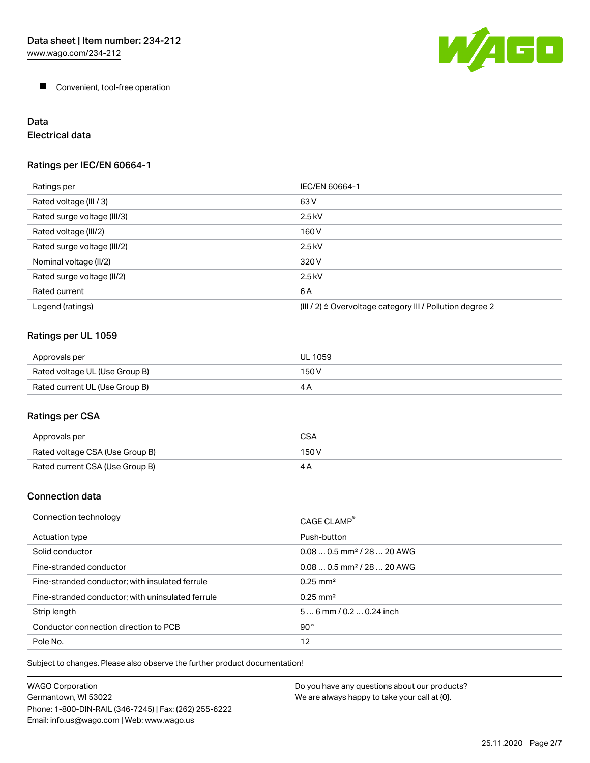

**Convenient, tool-free operation** 

# Data

# Electrical data

## Ratings per IEC/EN 60664-1

| Ratings per                 | IEC/EN 60664-1                                                        |
|-----------------------------|-----------------------------------------------------------------------|
| Rated voltage (III / 3)     | 63 V                                                                  |
| Rated surge voltage (III/3) | $2.5$ kV                                                              |
| Rated voltage (III/2)       | 160 V                                                                 |
| Rated surge voltage (III/2) | $2.5$ kV                                                              |
| Nominal voltage (II/2)      | 320 V                                                                 |
| Rated surge voltage (II/2)  | $2.5$ kV                                                              |
| Rated current               | 6 A                                                                   |
| Legend (ratings)            | $(III / 2)$ $\triangle$ Overvoltage category III / Pollution degree 2 |

# Ratings per UL 1059

| Approvals per                  | UL 1059 |
|--------------------------------|---------|
| Rated voltage UL (Use Group B) | 150 V   |
| Rated current UL (Use Group B) | 4 P     |

# Ratings per CSA

| Approvals per                   | CSA   |
|---------------------------------|-------|
| Rated voltage CSA (Use Group B) | 150 V |
| Rated current CSA (Use Group B) |       |

### Connection data

| Connection technology                             | CAGE CLAMP <sup>®</sup>                |
|---------------------------------------------------|----------------------------------------|
| Actuation type                                    | Push-button                            |
| Solid conductor                                   | $0.080.5$ mm <sup>2</sup> / 28  20 AWG |
| Fine-stranded conductor                           | $0.080.5$ mm <sup>2</sup> / 28  20 AWG |
| Fine-stranded conductor; with insulated ferrule   | $0.25 \text{ mm}^2$                    |
| Fine-stranded conductor; with uninsulated ferrule | $0.25 \text{ mm}^2$                    |
| Strip length                                      | $56$ mm $/ 0.20.24$ inch               |
| Conductor connection direction to PCB             | $90^{\circ}$                           |
| Pole No.                                          | 12                                     |

Subject to changes. Please also observe the further product documentation!

| <b>WAGO Corporation</b>                                | Do you have any questions about our products? |
|--------------------------------------------------------|-----------------------------------------------|
| Germantown, WI 53022                                   | We are always happy to take your call at {0}. |
| Phone: 1-800-DIN-RAIL (346-7245)   Fax: (262) 255-6222 |                                               |
| Email: info.us@wago.com   Web: www.wago.us             |                                               |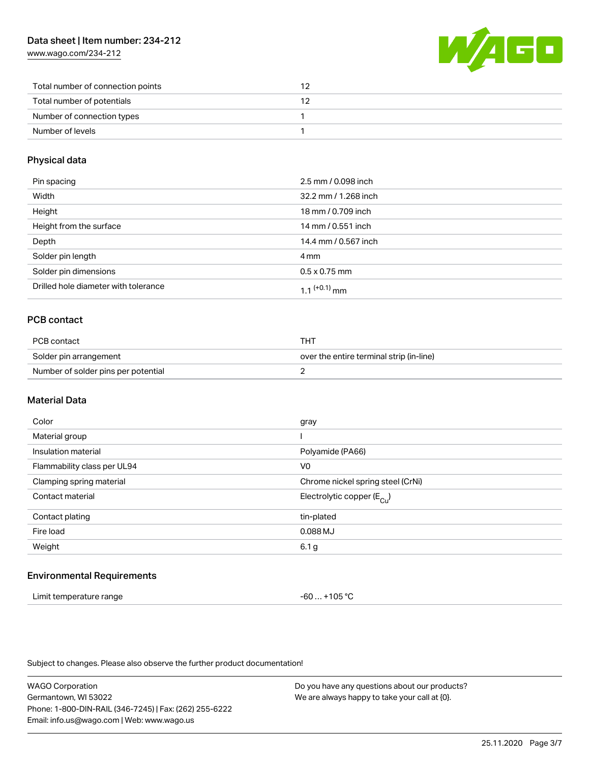[www.wago.com/234-212](http://www.wago.com/234-212)



| Total number of connection points |  |
|-----------------------------------|--|
| Total number of potentials        |  |
| Number of connection types        |  |
| Number of levels                  |  |

### Physical data

| Pin spacing                          | 2.5 mm / 0.098 inch  |
|--------------------------------------|----------------------|
| Width                                | 32.2 mm / 1.268 inch |
| Height                               | 18 mm / 0.709 inch   |
| Height from the surface              | 14 mm / 0.551 inch   |
| Depth                                | 14.4 mm / 0.567 inch |
| Solder pin length                    | 4 mm                 |
| Solder pin dimensions                | $0.5 \times 0.75$ mm |
| Drilled hole diameter with tolerance | $1.1$ (+0.1) mm      |

# PCB contact

| PCB contact                         | тнт                                      |
|-------------------------------------|------------------------------------------|
| Solder pin arrangement              | over the entire terminal strip (in-line) |
| Number of solder pins per potential |                                          |

#### Material Data

| Color                       | gray                                  |
|-----------------------------|---------------------------------------|
| Material group              |                                       |
| Insulation material         | Polyamide (PA66)                      |
| Flammability class per UL94 | V <sub>0</sub>                        |
| Clamping spring material    | Chrome nickel spring steel (CrNi)     |
| Contact material            | Electrolytic copper $(E_{\text{Cl}})$ |
| Contact plating             | tin-plated                            |
| Fire load                   | 0.088 MJ                              |
| Weight                      | 6.1 g                                 |
|                             |                                       |

#### Environmental Requirements

| Limit temperature range | $-60+105 °C$ |
|-------------------------|--------------|
|-------------------------|--------------|

Subject to changes. Please also observe the further product documentation!

WAGO Corporation Germantown, WI 53022 Phone: 1-800-DIN-RAIL (346-7245) | Fax: (262) 255-6222 Email: info.us@wago.com | Web: www.wago.us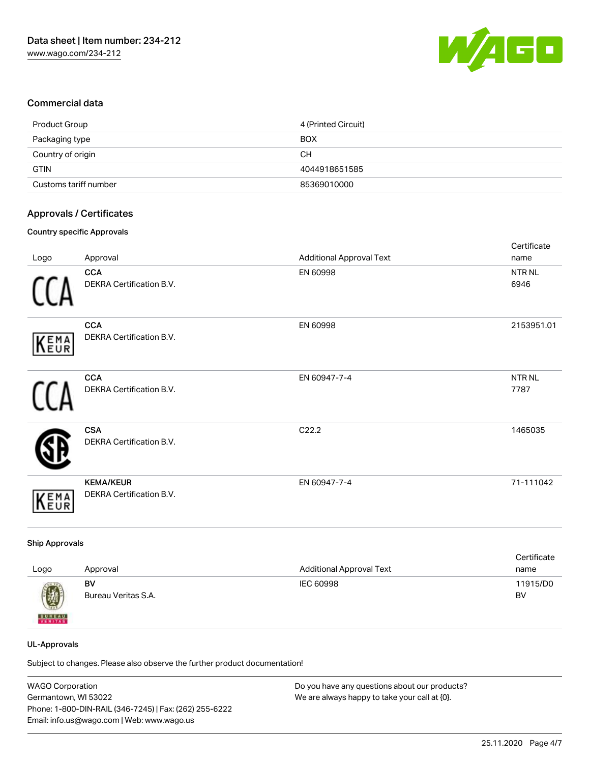

### Commercial data

| Product Group         | 4 (Printed Circuit) |
|-----------------------|---------------------|
| Packaging type        | <b>BOX</b>          |
| Country of origin     | CН                  |
| <b>GTIN</b>           | 4044918651585       |
| Customs tariff number | 85369010000         |

### Approvals / Certificates

#### Country specific Approvals

|      |                                        |                                 | Certificate               |
|------|----------------------------------------|---------------------------------|---------------------------|
| Logo | Approval                               | <b>Additional Approval Text</b> | name                      |
|      | <b>CCA</b><br>DEKRA Certification B.V. | EN 60998                        | NTR <sub>NL</sub><br>6946 |
|      |                                        |                                 |                           |
|      | <b>CCA</b>                             | EN 60998                        | 2153951.01                |
| KEMA | DEKRA Certification B.V.               |                                 |                           |
|      | <b>CCA</b>                             | EN 60947-7-4                    | NTR <sub>NL</sub>         |
|      | DEKRA Certification B.V.               |                                 | 7787                      |
|      | <b>CSA</b>                             | C22.2                           | 1465035                   |
|      | <b>DEKRA Certification B.V.</b>        |                                 |                           |
|      | <b>KEMA/KEUR</b>                       | EN 60947-7-4                    | 71-111042                 |
| KEMA | DEKRA Certification B.V.               |                                 |                           |

#### Ship Approvals

| Logo          | Approval            | <b>Additional Approval Text</b> | Certificate<br>name |
|---------------|---------------------|---------------------------------|---------------------|
| 0             | BV                  | IEC 60998                       | 11915/D0            |
| <b>BUREAU</b> | Bureau Veritas S.A. |                                 | BV                  |

#### UL-Approvals

Subject to changes. Please also observe the further product documentation!

| <b>WAGO Corporation</b>                                | Do you have any questions about our products? |
|--------------------------------------------------------|-----------------------------------------------|
| Germantown, WI 53022                                   | We are always happy to take your call at {0}. |
| Phone: 1-800-DIN-RAIL (346-7245)   Fax: (262) 255-6222 |                                               |
| Email: info.us@wago.com   Web: www.wago.us             |                                               |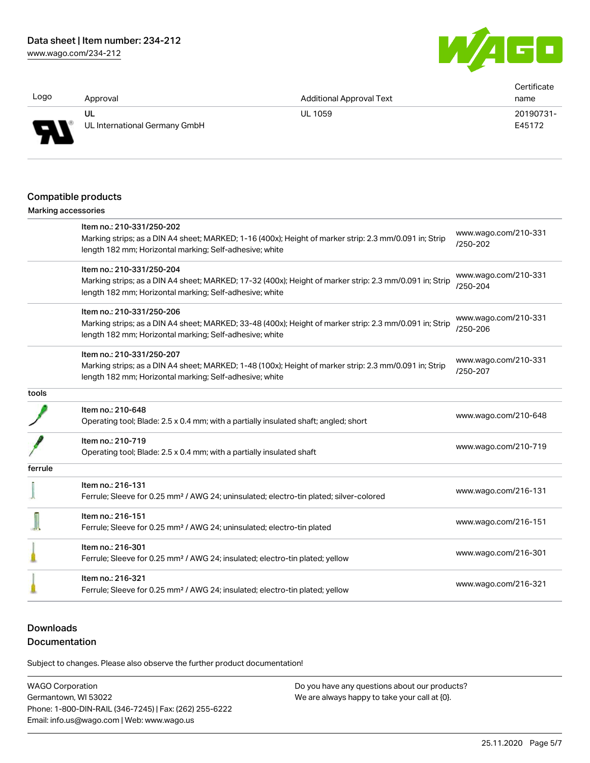[www.wago.com/234-212](http://www.wago.com/234-212)



| Logo                       | Approval                                                                                                                                                          | <b>Additional Approval Text</b>                                                                         | Certificate<br>name              |
|----------------------------|-------------------------------------------------------------------------------------------------------------------------------------------------------------------|---------------------------------------------------------------------------------------------------------|----------------------------------|
|                            | UL                                                                                                                                                                | UL 1059                                                                                                 | 20190731-                        |
|                            | UL International Germany GmbH                                                                                                                                     |                                                                                                         | E45172                           |
|                            |                                                                                                                                                                   |                                                                                                         |                                  |
|                            | Compatible products                                                                                                                                               |                                                                                                         |                                  |
| <b>Marking accessories</b> |                                                                                                                                                                   |                                                                                                         |                                  |
|                            | Item no.: 210-331/250-202                                                                                                                                         |                                                                                                         |                                  |
|                            | Marking strips; as a DIN A4 sheet; MARKED; 1-16 (400x); Height of marker strip: 2.3 mm/0.091 in; Strip<br>length 182 mm; Horizontal marking; Self-adhesive; white |                                                                                                         | www.wago.com/210-331<br>/250-202 |
|                            | Item no.: 210-331/250-204                                                                                                                                         |                                                                                                         |                                  |
|                            |                                                                                                                                                                   | Marking strips; as a DIN A4 sheet; MARKED; 17-32 (400x); Height of marker strip: 2.3 mm/0.091 in; Strip | www.wago.com/210-331<br>/250-204 |
|                            | length 182 mm; Horizontal marking; Self-adhesive; white                                                                                                           |                                                                                                         |                                  |
|                            | Item no.: 210-331/250-206                                                                                                                                         |                                                                                                         |                                  |
|                            | Marking strips; as a DIN A4 sheet; MARKED; 33-48 (400x); Height of marker strip: 2.3 mm/0.091 in; Strip                                                           |                                                                                                         | www.wago.com/210-331             |
|                            | length 182 mm; Horizontal marking; Self-adhesive; white                                                                                                           |                                                                                                         | /250-206                         |
|                            | Item no.: 210-331/250-207                                                                                                                                         |                                                                                                         |                                  |
|                            | Marking strips; as a DIN A4 sheet; MARKED; 1-48 (100x); Height of marker strip: 2.3 mm/0.091 in; Strip                                                            |                                                                                                         | www.wago.com/210-331<br>/250-207 |
|                            | length 182 mm; Horizontal marking; Self-adhesive; white                                                                                                           |                                                                                                         |                                  |
| tools                      |                                                                                                                                                                   |                                                                                                         |                                  |
|                            | Item no.: 210-648                                                                                                                                                 |                                                                                                         |                                  |
|                            | Operating tool; Blade: 2.5 x 0.4 mm; with a partially insulated shaft; angled; short                                                                              |                                                                                                         | www.wago.com/210-648             |
|                            | Item no.: 210-719                                                                                                                                                 |                                                                                                         |                                  |
|                            | Operating tool; Blade: 2.5 x 0.4 mm; with a partially insulated shaft                                                                                             |                                                                                                         | www.wago.com/210-719             |
| ferrule                    |                                                                                                                                                                   |                                                                                                         |                                  |
|                            | Item no.: 216-131                                                                                                                                                 |                                                                                                         |                                  |
|                            | Ferrule; Sleeve for 0.25 mm <sup>2</sup> / AWG 24; uninsulated; electro-tin plated; silver-colored                                                                |                                                                                                         | www.wago.com/216-131             |
|                            | Item no.: 216-151                                                                                                                                                 |                                                                                                         |                                  |
|                            | Ferrule; Sleeve for 0.25 mm <sup>2</sup> / AWG 24; uninsulated; electro-tin plated                                                                                |                                                                                                         | www.wago.com/216-151             |
|                            | Item no.: 216-301                                                                                                                                                 |                                                                                                         |                                  |
|                            | Ferrule; Sleeve for 0.25 mm <sup>2</sup> / AWG 24; insulated; electro-tin plated; yellow                                                                          |                                                                                                         | www.wago.com/216-301             |
|                            | Item no.: 216-321                                                                                                                                                 |                                                                                                         |                                  |
|                            | Ferrule; Sleeve for 0.25 mm <sup>2</sup> / AWG 24; insulated; electro-tin plated; yellow                                                                          |                                                                                                         | www.wago.com/216-321             |
|                            |                                                                                                                                                                   |                                                                                                         |                                  |

# **Downloads**

# Documentation

Subject to changes. Please also observe the further product documentation!

WAGO Corporation Germantown, WI 53022 Phone: 1-800-DIN-RAIL (346-7245) | Fax: (262) 255-6222 Email: info.us@wago.com | Web: www.wago.us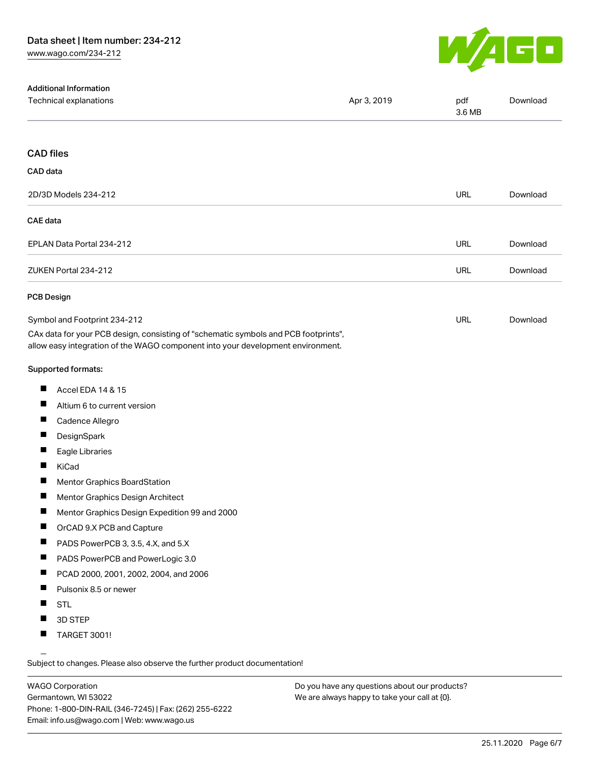

| <b>Additional Information</b><br>Technical explanations                                                                                                                | Apr 3, 2019 | pdf<br>3.6 MB | Download |
|------------------------------------------------------------------------------------------------------------------------------------------------------------------------|-------------|---------------|----------|
| <b>CAD files</b>                                                                                                                                                       |             |               |          |
| CAD data                                                                                                                                                               |             |               |          |
| 2D/3D Models 234-212                                                                                                                                                   |             | <b>URL</b>    | Download |
| <b>CAE</b> data                                                                                                                                                        |             |               |          |
| EPLAN Data Portal 234-212                                                                                                                                              |             | <b>URL</b>    | Download |
| ZUKEN Portal 234-212                                                                                                                                                   |             | URL           | Download |
| <b>PCB Design</b>                                                                                                                                                      |             |               |          |
| Symbol and Footprint 234-212                                                                                                                                           |             | <b>URL</b>    | Download |
| CAx data for your PCB design, consisting of "schematic symbols and PCB footprints",<br>allow easy integration of the WAGO component into your development environment. |             |               |          |
| <b>Supported formats:</b>                                                                                                                                              |             |               |          |
| Accel EDA 14 & 15                                                                                                                                                      |             |               |          |
| ш<br>Altium 6 to current version                                                                                                                                       |             |               |          |
| ш<br>Cadence Allegro                                                                                                                                                   |             |               |          |
| DesignSpark                                                                                                                                                            |             |               |          |
| ш<br>Eagle Libraries                                                                                                                                                   |             |               |          |
| ш<br>KiCad                                                                                                                                                             |             |               |          |
| a ka<br>Mentor Graphics BoardStation                                                                                                                                   |             |               |          |
| Mentor Graphics Design Architect                                                                                                                                       |             |               |          |
| Mentor Graphics Design Expedition 99 and 2000                                                                                                                          |             |               |          |
| ш<br>OrCAD 9.X PCB and Capture                                                                                                                                         |             |               |          |
| PADS PowerPCB 3, 3.5, 4.X, and 5.X<br>ш                                                                                                                                |             |               |          |
| PADS PowerPCB and PowerLogic 3.0<br>ш                                                                                                                                  |             |               |          |
| ш<br>PCAD 2000, 2001, 2002, 2004, and 2006                                                                                                                             |             |               |          |
| ш<br>Pulsonix 8.5 or newer                                                                                                                                             |             |               |          |
| <b>STL</b>                                                                                                                                                             |             |               |          |
| 3D STEP<br>a sa                                                                                                                                                        |             |               |          |
| ш<br><b>TARGET 3001!</b>                                                                                                                                               |             |               |          |

Subject to changes. Please also observe the further product documentation!

WAGO Corporation Germantown, WI 53022 Phone: 1-800-DIN-RAIL (346-7245) | Fax: (262) 255-6222 Email: info.us@wago.com | Web: www.wago.us